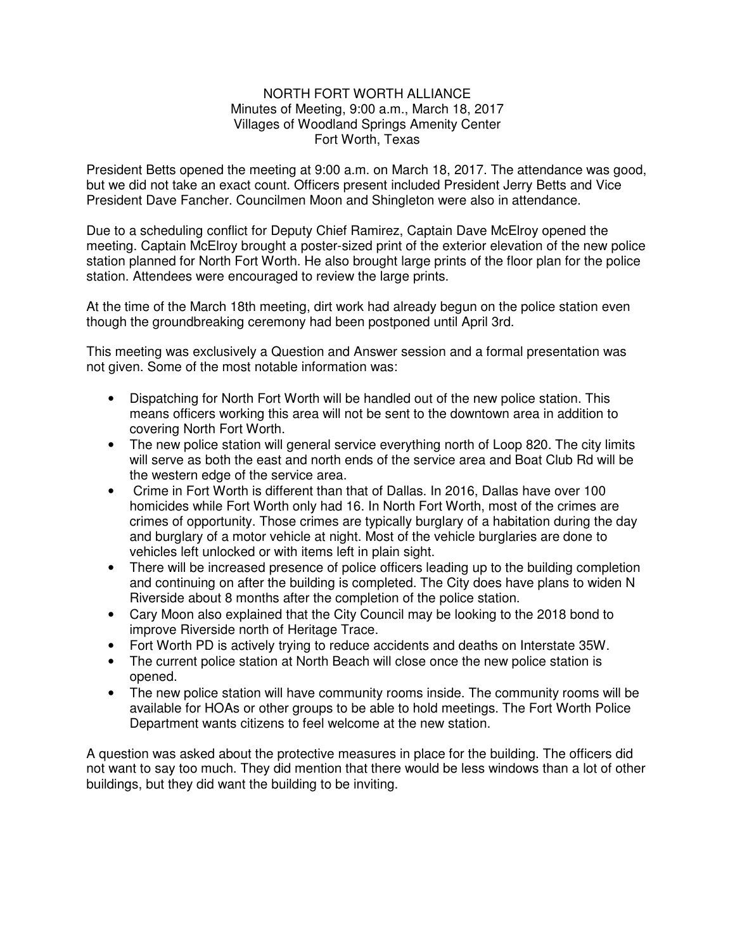## NORTH FORT WORTH ALLIANCE Minutes of Meeting, 9:00 a.m., March 18, 2017 Villages of Woodland Springs Amenity Center Fort Worth, Texas

President Betts opened the meeting at 9:00 a.m. on March 18, 2017. The attendance was good, but we did not take an exact count. Officers present included President Jerry Betts and Vice President Dave Fancher. Councilmen Moon and Shingleton were also in attendance.

Due to a scheduling conflict for Deputy Chief Ramirez, Captain Dave McElroy opened the meeting. Captain McElroy brought a poster-sized print of the exterior elevation of the new police station planned for North Fort Worth. He also brought large prints of the floor plan for the police station. Attendees were encouraged to review the large prints.

At the time of the March 18th meeting, dirt work had already begun on the police station even though the groundbreaking ceremony had been postponed until April 3rd.

This meeting was exclusively a Question and Answer session and a formal presentation was not given. Some of the most notable information was:

- Dispatching for North Fort Worth will be handled out of the new police station. This means officers working this area will not be sent to the downtown area in addition to covering North Fort Worth.
- The new police station will general service everything north of Loop 820. The city limits will serve as both the east and north ends of the service area and Boat Club Rd will be the western edge of the service area.
- Crime in Fort Worth is different than that of Dallas. In 2016, Dallas have over 100 homicides while Fort Worth only had 16. In North Fort Worth, most of the crimes are crimes of opportunity. Those crimes are typically burglary of a habitation during the day and burglary of a motor vehicle at night. Most of the vehicle burglaries are done to vehicles left unlocked or with items left in plain sight.
- There will be increased presence of police officers leading up to the building completion and continuing on after the building is completed. The City does have plans to widen N Riverside about 8 months after the completion of the police station.
- Cary Moon also explained that the City Council may be looking to the 2018 bond to improve Riverside north of Heritage Trace.
- Fort Worth PD is actively trying to reduce accidents and deaths on Interstate 35W.
- The current police station at North Beach will close once the new police station is opened.
- The new police station will have community rooms inside. The community rooms will be available for HOAs or other groups to be able to hold meetings. The Fort Worth Police Department wants citizens to feel welcome at the new station.

A question was asked about the protective measures in place for the building. The officers did not want to say too much. They did mention that there would be less windows than a lot of other buildings, but they did want the building to be inviting.